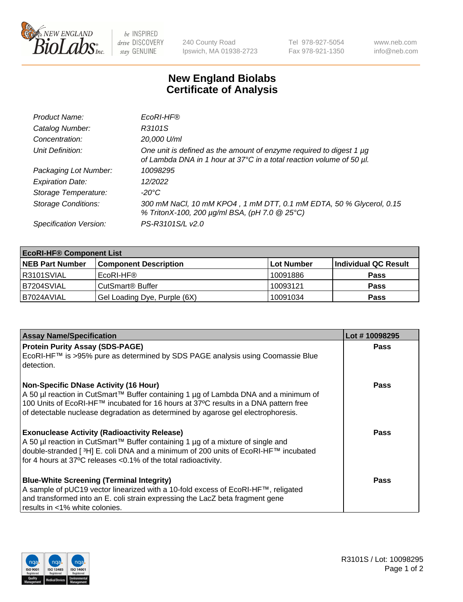

 $be$  INSPIRED drive DISCOVERY stay GENUINE

240 County Road Ipswich, MA 01938-2723 Tel 978-927-5054 Fax 978-921-1350 www.neb.com info@neb.com

## **New England Biolabs Certificate of Analysis**

| Product Name:              | EcoRI-HF®                                                                                                                                   |
|----------------------------|---------------------------------------------------------------------------------------------------------------------------------------------|
| Catalog Number:            | R3101S                                                                                                                                      |
| Concentration:             | 20,000 U/ml                                                                                                                                 |
| Unit Definition:           | One unit is defined as the amount of enzyme required to digest 1 µg<br>of Lambda DNA in 1 hour at 37°C in a total reaction volume of 50 µl. |
| Packaging Lot Number:      | 10098295                                                                                                                                    |
| <b>Expiration Date:</b>    | 12/2022                                                                                                                                     |
| Storage Temperature:       | -20°C                                                                                                                                       |
| <b>Storage Conditions:</b> | 300 mM NaCl, 10 mM KPO4, 1 mM DTT, 0.1 mM EDTA, 50 % Glycerol, 0.15<br>% TritonX-100, 200 µg/ml BSA, (pH 7.0 @ 25°C)                        |
| Specification Version:     | PS-R3101S/L v2.0                                                                                                                            |

| <b>EcoRI-HF® Component List</b> |                              |            |                      |  |  |
|---------------------------------|------------------------------|------------|----------------------|--|--|
| <b>NEB Part Number</b>          | <b>Component Description</b> | Lot Number | Individual QC Result |  |  |
| R3101SVIAL                      | EcoRI-HF®                    | 10091886   | <b>Pass</b>          |  |  |
| IB7204SVIAL                     | CutSmart® Buffer             | 10093121   | Pass                 |  |  |
| I B7024AVIAL                    | Gel Loading Dye, Purple (6X) | 10091034   | <b>Pass</b>          |  |  |

| <b>Assay Name/Specification</b>                                                                                                                                            | Lot #10098295 |
|----------------------------------------------------------------------------------------------------------------------------------------------------------------------------|---------------|
| <b>Protein Purity Assay (SDS-PAGE)</b><br>EcoRI-HF™ is >95% pure as determined by SDS PAGE analysis using Coomassie Blue                                                   | <b>Pass</b>   |
| detection.                                                                                                                                                                 |               |
| <b>Non-Specific DNase Activity (16 Hour)</b>                                                                                                                               | Pass          |
| A 50 µl reaction in CutSmart™ Buffer containing 1 µg of Lambda DNA and a minimum of<br>100 Units of EcoRI-HF™ incubated for 16 hours at 37°C results in a DNA pattern free |               |
| of detectable nuclease degradation as determined by agarose gel electrophoresis.                                                                                           |               |
| <b>Exonuclease Activity (Radioactivity Release)</b>                                                                                                                        | Pass          |
| A 50 µl reaction in CutSmart™ Buffer containing 1 µg of a mixture of single and                                                                                            |               |
| double-stranded [3H] E. coli DNA and a minimum of 200 units of EcoRI-HF™ incubated                                                                                         |               |
| for 4 hours at 37°C releases <0.1% of the total radioactivity.                                                                                                             |               |
| <b>Blue-White Screening (Terminal Integrity)</b>                                                                                                                           | <b>Pass</b>   |
| A sample of pUC19 vector linearized with a 10-fold excess of EcoRI-HF™, religated                                                                                          |               |
| and transformed into an E. coli strain expressing the LacZ beta fragment gene                                                                                              |               |
| results in <1% white colonies.                                                                                                                                             |               |